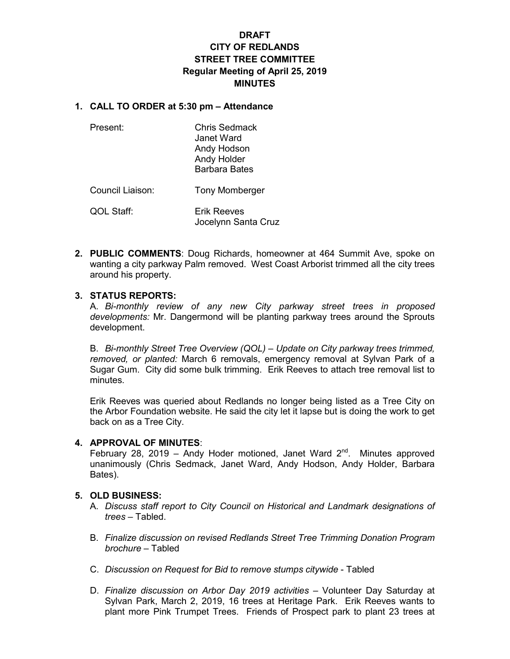# **DRAFT CITY OF REDLANDS STREET TREE COMMITTEE Regular Meeting of April 25, 2019 MINUTES**

### **1. CALL TO ORDER at 5:30 pm – Attendance**

| Present:         | <b>Chris Sedmack</b><br>Janet Ward<br>Andy Hodson<br>Andy Holder<br><b>Barbara Bates</b> |
|------------------|------------------------------------------------------------------------------------------|
| Council Liaison: | <b>Tony Momberger</b>                                                                    |

QOL Staff: Erik Reeves Jocelynn Santa Cruz

**2. PUBLIC COMMENTS**: Doug Richards, homeowner at 464 Summit Ave, spoke on wanting a city parkway Palm removed. West Coast Arborist trimmed all the city trees around his property.

# **3. STATUS REPORTS:**

A. *Bi-monthly review of any new City parkway street trees in proposed developments:* Mr. Dangermond will be planting parkway trees around the Sprouts development.

B. *Bi-monthly Street Tree Overview (QOL) – Update on City parkway trees trimmed, removed, or planted:* March 6 removals, emergency removal at Sylvan Park of a Sugar Gum. City did some bulk trimming. Erik Reeves to attach tree removal list to minutes.

Erik Reeves was queried about Redlands no longer being listed as a Tree City on the Arbor Foundation website. He said the city let it lapse but is doing the work to get back on as a Tree City.

# **4. APPROVAL OF MINUTES**:

February 28, 2019 – Andy Hoder motioned, Janet Ward  $2^{nd}$ . Minutes approved unanimously (Chris Sedmack, Janet Ward, Andy Hodson, Andy Holder, Barbara Bates).

#### **5. OLD BUSINESS:**

- A. *Discuss staff report to City Council on Historical and Landmark designations of trees –* Tabled.
- B. *Finalize discussion on revised Redlands Street Tree Trimming Donation Program brochure –* Tabled
- C. *Discussion on Request for Bid to remove stumps citywide*  Tabled
- D. *Finalize discussion on Arbor Day 2019 activities* Volunteer Day Saturday at Sylvan Park, March 2, 2019, 16 trees at Heritage Park. Erik Reeves wants to plant more Pink Trumpet Trees. Friends of Prospect park to plant 23 trees at